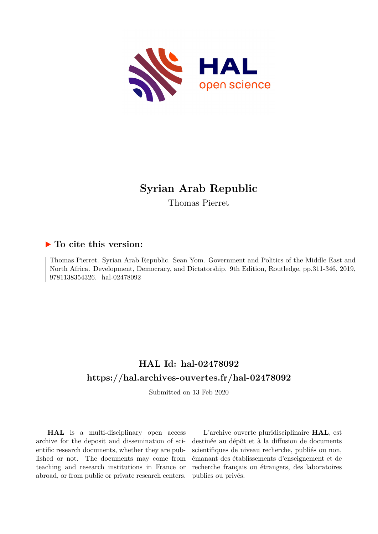

# **Syrian Arab Republic**

Thomas Pierret

## **To cite this version:**

Thomas Pierret. Syrian Arab Republic. Sean Yom. Government and Politics of the Middle East and North Africa. Development, Democracy, and Dictatorship. 9th Edition, Routledge, pp.311-346, 2019, 9781138354326. hal-02478092

## **HAL Id: hal-02478092 <https://hal.archives-ouvertes.fr/hal-02478092>**

Submitted on 13 Feb 2020

**HAL** is a multi-disciplinary open access archive for the deposit and dissemination of scientific research documents, whether they are published or not. The documents may come from teaching and research institutions in France or abroad, or from public or private research centers.

L'archive ouverte pluridisciplinaire **HAL**, est destinée au dépôt et à la diffusion de documents scientifiques de niveau recherche, publiés ou non, émanant des établissements d'enseignement et de recherche français ou étrangers, des laboratoires publics ou privés.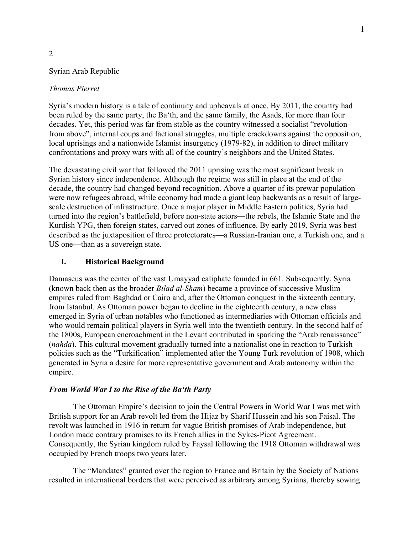## Syrian Arab Republic

## *Thomas Pierret*

2

Syria's modern history is a tale of continuity and upheavals at once. By 2011, the country had been ruled by the same party, the Ba'th, and the same family, the Asads, for more than four decades. Yet, this period was far from stable as the country witnessed a socialist "revolution from above", internal coups and factional struggles, multiple crackdowns against the opposition, local uprisings and a nationwide Islamist insurgency (1979-82), in addition to direct military confrontations and proxy wars with all of the country's neighbors and the United States.

The devastating civil war that followed the 2011 uprising was the most significant break in Syrian history since independence. Although the regime was still in place at the end of the decade, the country had changed beyond recognition. Above a quarter of its prewar population were now refugees abroad, while economy had made a giant leap backwards as a result of largescale destruction of infrastructure. Once a major player in Middle Eastern politics, Syria had turned into the region's battlefield, before non-state actors—the rebels, the Islamic State and the Kurdish YPG, then foreign states, carved out zones of influence. By early 2019, Syria was best described as the juxtaposition of three protectorates—a Russian-Iranian one, a Turkish one, and a US one—than as a sovereign state.

## **I. Historical Background**

Damascus was the center of the vast Umayyad caliphate founded in 661. Subsequently, Syria (known back then as the broader *Bilad al-Sham*) became a province of successive Muslim empires ruled from Baghdad or Cairo and, after the Ottoman conquest in the sixteenth century, from Istanbul. As Ottoman power began to decline in the eighteenth century, a new class emerged in Syria of urban notables who functioned as intermediaries with Ottoman officials and who would remain political players in Syria well into the twentieth century. In the second half of the 1800s, European encroachment in the Levant contributed in sparking the "Arab renaissance" (*nahda*). This cultural movement gradually turned into a nationalist one in reaction to Turkish policies such as the "Turkification" implemented after the Young Turk revolution of 1908, which generated in Syria a desire for more representative government and Arab autonomy within the empire.

## *From World War I to the Rise of the Ba'th Party*

The Ottoman Empire's decision to join the Central Powers in World War I was met with British support for an Arab revolt led from the Hijaz by Sharif Hussein and his son Faisal. The revolt was launched in 1916 in return for vague British promises of Arab independence, but London made contrary promises to its French allies in the Sykes-Picot Agreement. Consequently, the Syrian kingdom ruled by Faysal following the 1918 Ottoman withdrawal was occupied by French troops two years later.

The "Mandates" granted over the region to France and Britain by the Society of Nations resulted in international borders that were perceived as arbitrary among Syrians, thereby sowing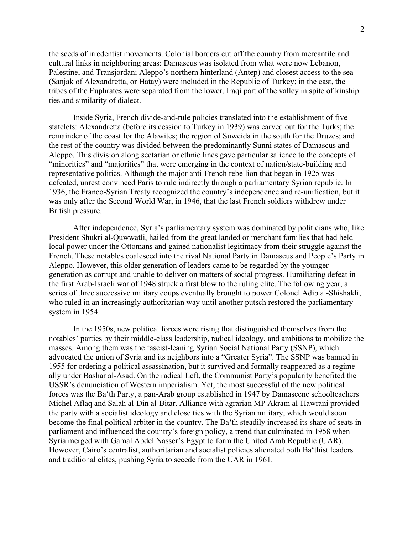the seeds of irredentist movements. Colonial borders cut off the country from mercantile and cultural links in neighboring areas: Damascus was isolated from what were now Lebanon, Palestine, and Transjordan; Aleppo's northern hinterland (Antep) and closest access to the sea (Sanjak of Alexandretta, or Hatay) were included in the Republic of Turkey; in the east, the tribes of the Euphrates were separated from the lower, Iraqi part of the valley in spite of kinship ties and similarity of dialect.

Inside Syria, French divide-and-rule policies translated into the establishment of five statelets: Alexandretta (before its cession to Turkey in 1939) was carved out for the Turks; the remainder of the coast for the Alawites; the region of Suweida in the south for the Druzes; and the rest of the country was divided between the predominantly Sunni states of Damascus and Aleppo. This division along sectarian or ethnic lines gave particular salience to the concepts of "minorities" and "majorities" that were emerging in the context of nation/state-building and representative politics. Although the major anti-French rebellion that began in 1925 was defeated, unrest convinced Paris to rule indirectly through a parliamentary Syrian republic. In 1936, the Franco-Syrian Treaty recognized the country's independence and re-unification, but it was only after the Second World War, in 1946, that the last French soldiers withdrew under British pressure.

After independence, Syria's parliamentary system was dominated by politicians who, like President Shukri al-Quwwatli, hailed from the great landed or merchant families that had held local power under the Ottomans and gained nationalist legitimacy from their struggle against the French. These notables coalesced into the rival National Party in Damascus and People's Party in Aleppo. However, this older generation of leaders came to be regarded by the younger generation as corrupt and unable to deliver on matters of social progress. Humiliating defeat in the first Arab-Israeli war of 1948 struck a first blow to the ruling elite. The following year, a series of three successive military coups eventually brought to power Colonel Adib al-Shishakli, who ruled in an increasingly authoritarian way until another putsch restored the parliamentary system in 1954.

In the 1950s, new political forces were rising that distinguished themselves from the notables' parties by their middle-class leadership, radical ideology, and ambitions to mobilize the masses. Among them was the fascist-leaning Syrian Social National Party (SSNP), which advocated the union of Syria and its neighbors into a "Greater Syria". The SSNP was banned in 1955 for ordering a political assassination, but it survived and formally reappeared as a regime ally under Bashar al-Asad. On the radical Left, the Communist Party's popularity benefited the USSR's denunciation of Western imperialism. Yet, the most successful of the new political forces was the Ba'th Party, a pan-Arab group established in 1947 by Damascene schoolteachers Michel Aflaq and Salah al-Din al-Bitar. Alliance with agrarian MP Akram al-Hawrani provided the party with a socialist ideology and close ties with the Syrian military, which would soon become the final political arbiter in the country. The Ba'th steadily increased its share of seats in parliament and influenced the country's foreign policy, a trend that culminated in 1958 when Syria merged with Gamal Abdel Nasser's Egypt to form the United Arab Republic (UAR). However, Cairo's centralist, authoritarian and socialist policies alienated both Ba'thist leaders and traditional elites, pushing Syria to secede from the UAR in 1961.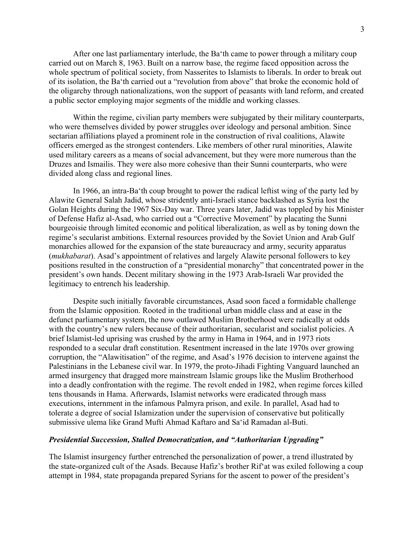After one last parliamentary interlude, the Ba'th came to power through a military coup carried out on March 8, 1963. Built on a narrow base, the regime faced opposition across the whole spectrum of political society, from Nasserites to Islamists to liberals. In order to break out of its isolation, the Ba'th carried out a "revolution from above" that broke the economic hold of the oligarchy through nationalizations, won the support of peasants with land reform, and created a public sector employing major segments of the middle and working classes.

Within the regime, civilian party members were subjugated by their military counterparts, who were themselves divided by power struggles over ideology and personal ambition. Since sectarian affiliations played a prominent role in the construction of rival coalitions, Alawite officers emerged as the strongest contenders. Like members of other rural minorities, Alawite used military careers as a means of social advancement, but they were more numerous than the Druzes and Ismailis. They were also more cohesive than their Sunni counterparts, who were divided along class and regional lines.

In 1966, an intra-Ba'th coup brought to power the radical leftist wing of the party led by Alawite General Salah Jadid, whose stridently anti-Israeli stance backlashed as Syria lost the Golan Heights during the 1967 Six-Day war. Three years later, Jadid was toppled by his Minister of Defense Hafiz al-Asad, who carried out a "Corrective Movement" by placating the Sunni bourgeoisie through limited economic and political liberalization, as well as by toning down the regime's secularist ambitions. External resources provided by the Soviet Union and Arab Gulf monarchies allowed for the expansion of the state bureaucracy and army, security apparatus (*mukhabarat*). Asad's appointment of relatives and largely Alawite personal followers to key positions resulted in the construction of a "presidential monarchy" that concentrated power in the president's own hands. Decent military showing in the 1973 Arab-Israeli War provided the legitimacy to entrench his leadership.

Despite such initially favorable circumstances, Asad soon faced a formidable challenge from the Islamic opposition. Rooted in the traditional urban middle class and at ease in the defunct parliamentary system, the now outlawed Muslim Brotherhood were radically at odds with the country's new rulers because of their authoritarian, secularist and socialist policies. A brief Islamist-led uprising was crushed by the army in Hama in 1964, and in 1973 riots responded to a secular draft constitution. Resentment increased in the late 1970s over growing corruption, the "Alawitisation" of the regime, and Asad's 1976 decision to intervene against the Palestinians in the Lebanese civil war. In 1979, the proto-Jihadi Fighting Vanguard launched an armed insurgency that dragged more mainstream Islamic groups like the Muslim Brotherhood into a deadly confrontation with the regime. The revolt ended in 1982, when regime forces killed tens thousands in Hama. Afterwards, Islamist networks were eradicated through mass executions, internment in the infamous Palmyra prison, and exile. In parallel, Asad had to tolerate a degree of social Islamization under the supervision of conservative but politically submissive ulema like Grand Mufti Ahmad Kaftaro and Sa'id Ramadan al-Buti.

## *Presidential Succession, Stalled Democratization, and "Authoritarian Upgrading"*

The Islamist insurgency further entrenched the personalization of power, a trend illustrated by the state-organized cult of the Asads. Because Hafiz's brother Rif'at was exiled following a coup attempt in 1984, state propaganda prepared Syrians for the ascent to power of the president's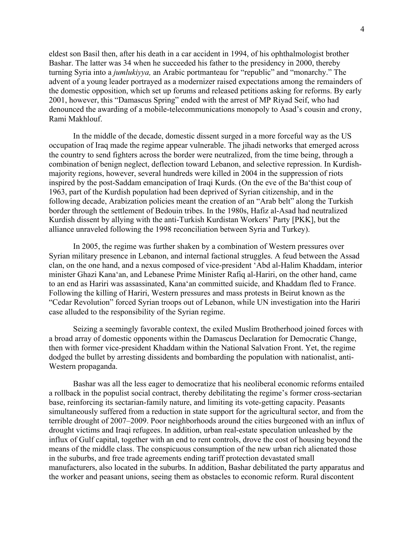eldest son Basil then, after his death in a car accident in 1994, of his ophthalmologist brother Bashar. The latter was 34 when he succeeded his father to the presidency in 2000, thereby turning Syria into a *jumlukiyya,* an Arabic portmanteau for "republic" and "monarchy." The advent of a young leader portrayed as a modernizer raised expectations among the remainders of the domestic opposition, which set up forums and released petitions asking for reforms. By early 2001, however, this "Damascus Spring" ended with the arrest of MP Riyad Seif, who had denounced the awarding of a mobile-telecommunications monopoly to Asad's cousin and crony, Rami Makhlouf.

In the middle of the decade, domestic dissent surged in a more forceful way as the US occupation of Iraq made the regime appear vulnerable. The jihadi networks that emerged across the country to send fighters across the border were neutralized, from the time being, through a combination of benign neglect, deflection toward Lebanon, and selective repression. In Kurdishmajority regions, however, several hundreds were killed in 2004 in the suppression of riots inspired by the post-Saddam emancipation of Iraqi Kurds. (On the eve of the Ba'thist coup of 1963, part of the Kurdish population had been deprived of Syrian citizenship, and in the following decade, Arabization policies meant the creation of an "Arab belt" along the Turkish border through the settlement of Bedouin tribes. In the 1980s, Hafiz al-Asad had neutralized Kurdish dissent by allying with the anti-Turkish Kurdistan Workers' Party [PKK], but the alliance unraveled following the 1998 reconciliation between Syria and Turkey).

In 2005, the regime was further shaken by a combination of Western pressures over Syrian military presence in Lebanon, and internal factional struggles. A feud between the Assad clan, on the one hand, and a nexus composed of vice-president 'Abd al-Halim Khaddam, interior minister Ghazi Kana'an, and Lebanese Prime Minister Rafiq al-Hariri, on the other hand, came to an end as Hariri was assassinated, Kana'an committed suicide, and Khaddam fled to France. Following the killing of Hariri, Western pressures and mass protests in Beirut known as the "Cedar Revolution" forced Syrian troops out of Lebanon, while UN investigation into the Hariri case alluded to the responsibility of the Syrian regime.

Seizing a seemingly favorable context, the exiled Muslim Brotherhood joined forces with a broad array of domestic opponents within the Damascus Declaration for Democratic Change, then with former vice-president Khaddam within the National Salvation Front. Yet, the regime dodged the bullet by arresting dissidents and bombarding the population with nationalist, anti-Western propaganda.

Bashar was all the less eager to democratize that his neoliberal economic reforms entailed a rollback in the populist social contract, thereby debilitating the regime's former cross-sectarian base, reinforcing its sectarian-family nature, and limiting its vote-getting capacity. Peasants simultaneously suffered from a reduction in state support for the agricultural sector, and from the terrible drought of 2007–2009. Poor neighborhoods around the cities burgeoned with an influx of drought victims and Iraqi refugees. In addition, urban real-estate speculation unleashed by the influx of Gulf capital, together with an end to rent controls, drove the cost of housing beyond the means of the middle class. The conspicuous consumption of the new urban rich alienated those in the suburbs, and free trade agreements ending tariff protection devastated small manufacturers, also located in the suburbs. In addition, Bashar debilitated the party apparatus and the worker and peasant unions, seeing them as obstacles to economic reform. Rural discontent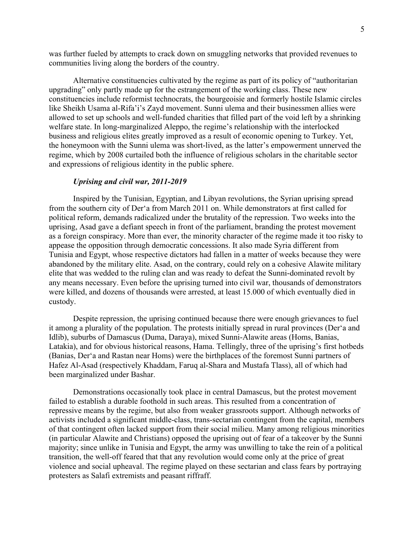was further fueled by attempts to crack down on smuggling networks that provided revenues to communities living along the borders of the country.

Alternative constituencies cultivated by the regime as part of its policy of "authoritarian upgrading" only partly made up for the estrangement of the working class. These new constituencies include reformist technocrats, the bourgeoisie and formerly hostile Islamic circles like Sheikh Usama al-Rifa'i's Zayd movement. Sunni ulema and their businessmen allies were allowed to set up schools and well-funded charities that filled part of the void left by a shrinking welfare state. In long-marginalized Aleppo, the regime's relationship with the interlocked business and religious elites greatly improved as a result of economic opening to Turkey. Yet, the honeymoon with the Sunni ulema was short-lived, as the latter's empowerment unnerved the regime, which by 2008 curtailed both the influence of religious scholars in the charitable sector and expressions of religious identity in the public sphere.

## *Uprising and civil war, 2011-2019*

Inspired by the Tunisian, Egyptian, and Libyan revolutions, the Syrian uprising spread from the southern city of Der'a from March 2011 on. While demonstrators at first called for political reform, demands radicalized under the brutality of the repression. Two weeks into the uprising, Asad gave a defiant speech in front of the parliament, branding the protest movement as a foreign conspiracy. More than ever, the minority character of the regime made it too risky to appease the opposition through democratic concessions. It also made Syria different from Tunisia and Egypt, whose respective dictators had fallen in a matter of weeks because they were abandoned by the military elite. Asad, on the contrary, could rely on a cohesive Alawite military elite that was wedded to the ruling clan and was ready to defeat the Sunni-dominated revolt by any means necessary. Even before the uprising turned into civil war, thousands of demonstrators were killed, and dozens of thousands were arrested, at least 15.000 of which eventually died in custody.

Despite repression, the uprising continued because there were enough grievances to fuel it among a plurality of the population. The protests initially spread in rural provinces (Der'a and Idlib), suburbs of Damascus (Duma, Daraya), mixed Sunni-Alawite areas (Homs, Banias, Latakia), and for obvious historical reasons, Hama. Tellingly, three of the uprising's first hotbeds (Banias, Der'a and Rastan near Homs) were the birthplaces of the foremost Sunni partners of Hafez Al-Asad (respectively Khaddam, Faruq al-Shara and Mustafa Tlass), all of which had been marginalized under Bashar.

Demonstrations occasionally took place in central Damascus, but the protest movement failed to establish a durable foothold in such areas. This resulted from a concentration of repressive means by the regime, but also from weaker grassroots support. Although networks of activists included a significant middle-class, trans-sectarian contingent from the capital, members of that contingent often lacked support from their social milieu. Many among religious minorities (in particular Alawite and Christians) opposed the uprising out of fear of a takeover by the Sunni majority; since unlike in Tunisia and Egypt, the army was unwilling to take the rein of a political transition, the well-off feared that that any revolution would come only at the price of great violence and social upheaval. The regime played on these sectarian and class fears by portraying protesters as Salafi extremists and peasant riffraff.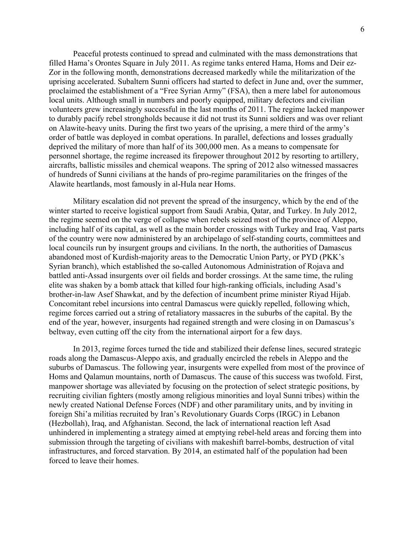Peaceful protests continued to spread and culminated with the mass demonstrations that filled Hama's Orontes Square in July 2011. As regime tanks entered Hama, Homs and Deir ez-Zor in the following month, demonstrations decreased markedly while the militarization of the uprising accelerated. Subaltern Sunni officers had started to defect in June and, over the summer, proclaimed the establishment of a "Free Syrian Army" (FSA), then a mere label for autonomous local units. Although small in numbers and poorly equipped, military defectors and civilian volunteers grew increasingly successful in the last months of 2011. The regime lacked manpower to durably pacify rebel strongholds because it did not trust its Sunni soldiers and was over reliant on Alawite-heavy units. During the first two years of the uprising, a mere third of the army's order of battle was deployed in combat operations. In parallel, defections and losses gradually deprived the military of more than half of its 300,000 men. As a means to compensate for personnel shortage, the regime increased its firepower throughout 2012 by resorting to artillery, aircrafts, ballistic missiles and chemical weapons. The spring of 2012 also witnessed massacres of hundreds of Sunni civilians at the hands of pro-regime paramilitaries on the fringes of the Alawite heartlands, most famously in al-Hula near Homs.

Military escalation did not prevent the spread of the insurgency, which by the end of the winter started to receive logistical support from Saudi Arabia, Qatar, and Turkey. In July 2012, the regime seemed on the verge of collapse when rebels seized most of the province of Aleppo, including half of its capital, as well as the main border crossings with Turkey and Iraq. Vast parts of the country were now administered by an archipelago of self-standing courts, committees and local councils run by insurgent groups and civilians. In the north, the authorities of Damascus abandoned most of Kurdish-majority areas to the Democratic Union Party, or PYD (PKK's Syrian branch), which established the so-called Autonomous Administration of Rojava and battled anti-Assad insurgents over oil fields and border crossings. At the same time, the ruling elite was shaken by a bomb attack that killed four high-ranking officials, including Asad's brother-in-law Asef Shawkat, and by the defection of incumbent prime minister Riyad Hijab. Concomitant rebel incursions into central Damascus were quickly repelled, following which, regime forces carried out a string of retaliatory massacres in the suburbs of the capital. By the end of the year, however, insurgents had regained strength and were closing in on Damascus's beltway, even cutting off the city from the international airport for a few days.

In 2013, regime forces turned the tide and stabilized their defense lines, secured strategic roads along the Damascus-Aleppo axis, and gradually encircled the rebels in Aleppo and the suburbs of Damascus. The following year, insurgents were expelled from most of the province of Homs and Qalamun mountains, north of Damascus. The cause of this success was twofold. First, manpower shortage was alleviated by focusing on the protection of select strategic positions, by recruiting civilian fighters (mostly among religious minorities and loyal Sunni tribes) within the newly created National Defense Forces (NDF) and other paramilitary units, and by inviting in foreign Shi'a militias recruited by Iran's Revolutionary Guards Corps (IRGC) in Lebanon (Hezbollah), Iraq, and Afghanistan. Second, the lack of international reaction left Asad unhindered in implementing a strategy aimed at emptying rebel-held areas and forcing them into submission through the targeting of civilians with makeshift barrel-bombs, destruction of vital infrastructures, and forced starvation. By 2014, an estimated half of the population had been forced to leave their homes.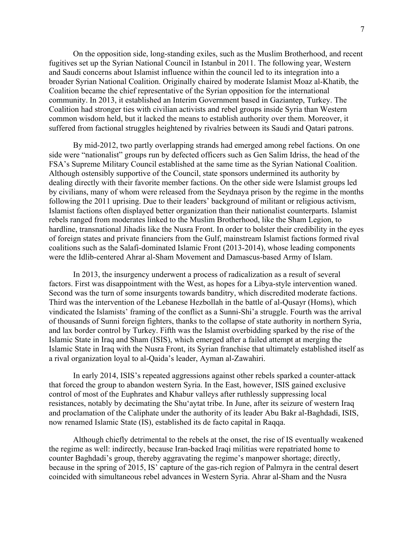On the opposition side, long-standing exiles, such as the Muslim Brotherhood, and recent fugitives set up the Syrian National Council in Istanbul in 2011. The following year, Western and Saudi concerns about Islamist influence within the council led to its integration into a broader Syrian National Coalition. Originally chaired by moderate Islamist Moaz al-Khatib, the Coalition became the chief representative of the Syrian opposition for the international community. In 2013, it established an Interim Government based in Gaziantep, Turkey. The Coalition had stronger ties with civilian activists and rebel groups inside Syria than Western common wisdom held, but it lacked the means to establish authority over them. Moreover, it suffered from factional struggles heightened by rivalries between its Saudi and Qatari patrons.

By mid-2012, two partly overlapping strands had emerged among rebel factions. On one side were "nationalist" groups run by defected officers such as Gen Salim Idriss, the head of the FSA's Supreme Military Council established at the same time as the Syrian National Coalition. Although ostensibly supportive of the Council, state sponsors undermined its authority by dealing directly with their favorite member factions. On the other side were Islamist groups led by civilians, many of whom were released from the Seydnaya prison by the regime in the months following the 2011 uprising. Due to their leaders' background of militant or religious activism, Islamist factions often displayed better organization than their nationalist counterparts. Islamist rebels ranged from moderates linked to the Muslim Brotherhood, like the Sham Legion, to hardline, transnational Jihadis like the Nusra Front. In order to bolster their credibility in the eyes of foreign states and private financiers from the Gulf, mainstream Islamist factions formed rival coalitions such as the Salafi-dominated Islamic Front (2013-2014), whose leading components were the Idlib-centered Ahrar al-Sham Movement and Damascus-based Army of Islam.

In 2013, the insurgency underwent a process of radicalization as a result of several factors. First was disappointment with the West, as hopes for a Libya-style intervention waned. Second was the turn of some insurgents towards banditry, which discredited moderate factions. Third was the intervention of the Lebanese Hezbollah in the battle of al-Qusayr (Homs), which vindicated the Islamists' framing of the conflict as a Sunni-Shi'a struggle. Fourth was the arrival of thousands of Sunni foreign fighters, thanks to the collapse of state authority in northern Syria, and lax border control by Turkey. Fifth was the Islamist overbidding sparked by the rise of the Islamic State in Iraq and Sham (ISIS), which emerged after a failed attempt at merging the Islamic State in Iraq with the Nusra Front, its Syrian franchise that ultimately established itself as a rival organization loyal to al-Qaida's leader, Ayman al-Zawahiri.

In early 2014, ISIS's repeated aggressions against other rebels sparked a counter-attack that forced the group to abandon western Syria. In the East, however, ISIS gained exclusive control of most of the Euphrates and Khabur valleys after ruthlessly suppressing local resistances, notably by decimating the Shu'aytat tribe. In June, after its seizure of western Iraq and proclamation of the Caliphate under the authority of its leader Abu Bakr al-Baghdadi, ISIS, now renamed Islamic State (IS), established its de facto capital in Raqqa.

Although chiefly detrimental to the rebels at the onset, the rise of IS eventually weakened the regime as well: indirectly, because Iran-backed Iraqi militias were repatriated home to counter Baghdadi's group, thereby aggravating the regime's manpower shortage; directly, because in the spring of 2015, IS' capture of the gas-rich region of Palmyra in the central desert coincided with simultaneous rebel advances in Western Syria. Ahrar al-Sham and the Nusra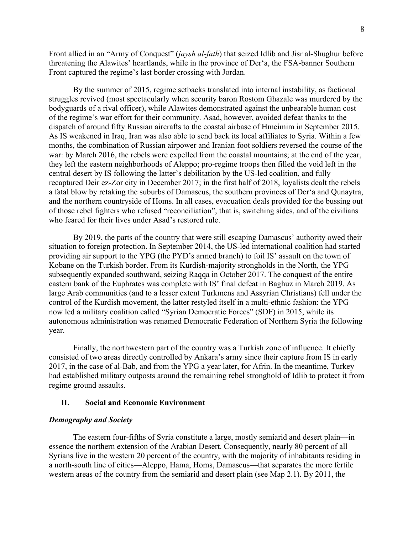Front allied in an "Army of Conquest" (*jaysh al-fath*) that seized Idlib and Jisr al-Shughur before threatening the Alawites' heartlands, while in the province of Der'a, the FSA-banner Southern Front captured the regime's last border crossing with Jordan.

By the summer of 2015, regime setbacks translated into internal instability, as factional struggles revived (most spectacularly when security baron Rostom Ghazale was murdered by the bodyguards of a rival officer), while Alawites demonstrated against the unbearable human cost of the regime's war effort for their community. Asad, however, avoided defeat thanks to the dispatch of around fifty Russian aircrafts to the coastal airbase of Hmeimim in September 2015. As IS weakened in Iraq, Iran was also able to send back its local affiliates to Syria. Within a few months, the combination of Russian airpower and Iranian foot soldiers reversed the course of the war: by March 2016, the rebels were expelled from the coastal mountains; at the end of the year, they left the eastern neighborhoods of Aleppo; pro-regime troops then filled the void left in the central desert by IS following the latter's debilitation by the US-led coalition, and fully recaptured Deir ez-Zor city in December 2017; in the first half of 2018, loyalists dealt the rebels a fatal blow by retaking the suburbs of Damascus, the southern provinces of Der'a and Qunaytra, and the northern countryside of Homs. In all cases, evacuation deals provided for the bussing out of those rebel fighters who refused "reconciliation", that is, switching sides, and of the civilians who feared for their lives under Asad's restored rule.

By 2019, the parts of the country that were still escaping Damascus' authority owed their situation to foreign protection. In September 2014, the US-led international coalition had started providing air support to the YPG (the PYD's armed branch) to foil IS' assault on the town of Kobane on the Turkish border. From its Kurdish-majority strongholds in the North, the YPG subsequently expanded southward, seizing Raqqa in October 2017. The conquest of the entire eastern bank of the Euphrates was complete with IS' final defeat in Baghuz in March 2019. As large Arab communities (and to a lesser extent Turkmens and Assyrian Christians) fell under the control of the Kurdish movement, the latter restyled itself in a multi-ethnic fashion: the YPG now led a military coalition called "Syrian Democratic Forces" (SDF) in 2015, while its autonomous administration was renamed Democratic Federation of Northern Syria the following year.

Finally, the northwestern part of the country was a Turkish zone of influence. It chiefly consisted of two areas directly controlled by Ankara's army since their capture from IS in early 2017, in the case of al-Bab, and from the YPG a year later, for Afrin. In the meantime, Turkey had established military outposts around the remaining rebel stronghold of Idlib to protect it from regime ground assaults.

## **II. Social and Economic Environment**

#### *Demography and Society*

The eastern four-fifths of Syria constitute a large, mostly semiarid and desert plain—in essence the northern extension of the Arabian Desert. Consequently, nearly 80 percent of all Syrians live in the western 20 percent of the country, with the majority of inhabitants residing in a north-south line of cities—Aleppo, Hama, Homs, Damascus—that separates the more fertile western areas of the country from the semiarid and desert plain (see Map 2.1). By 2011, the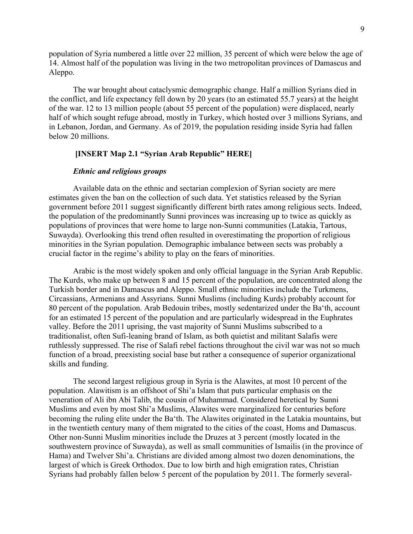population of Syria numbered a little over 22 million, 35 percent of which were below the age of 14. Almost half of the population was living in the two metropolitan provinces of Damascus and Aleppo.

The war brought about cataclysmic demographic change. Half a million Syrians died in the conflict, and life expectancy fell down by 20 years (to an estimated 55.7 years) at the height of the war. 12 to 13 million people (about 55 percent of the population) were displaced, nearly half of which sought refuge abroad, mostly in Turkey, which hosted over 3 millions Syrians, and in Lebanon, Jordan, and Germany. As of 2019, the population residing inside Syria had fallen below 20 millions.

## **[INSERT Map 2.1 "Syrian Arab Republic" HERE]**

## *Ethnic and religious groups*

Available data on the ethnic and sectarian complexion of Syrian society are mere estimates given the ban on the collection of such data. Yet statistics released by the Syrian government before 2011 suggest significantly different birth rates among religious sects. Indeed, the population of the predominantly Sunni provinces was increasing up to twice as quickly as populations of provinces that were home to large non-Sunni communities (Latakia, Tartous, Suwayda). Overlooking this trend often resulted in overestimating the proportion of religious minorities in the Syrian population. Demographic imbalance between sects was probably a crucial factor in the regime's ability to play on the fears of minorities.

Arabic is the most widely spoken and only official language in the Syrian Arab Republic. The Kurds, who make up between 8 and 15 percent of the population, are concentrated along the Turkish border and in Damascus and Aleppo. Small ethnic minorities include the Turkmens, Circassians, Armenians and Assyrians. Sunni Muslims (including Kurds) probably account for 80 percent of the population. Arab Bedouin tribes, mostly sedentarized under the Ba'th, account for an estimated 15 percent of the population and are particularly widespread in the Euphrates valley. Before the 2011 uprising, the vast majority of Sunni Muslims subscribed to a traditionalist, often Sufi-leaning brand of Islam, as both quietist and militant Salafis were ruthlessly suppressed. The rise of Salafi rebel factions throughout the civil war was not so much function of a broad, preexisting social base but rather a consequence of superior organizational skills and funding.

The second largest religious group in Syria is the Alawites, at most 10 percent of the population. Alawitism is an offshoot of Shi'a Islam that puts particular emphasis on the veneration of Ali ibn Abi Talib, the cousin of Muhammad. Considered heretical by Sunni Muslims and even by most Shi'a Muslims, Alawites were marginalized for centuries before becoming the ruling elite under the Ba'th. The Alawites originated in the Latakia mountains, but in the twentieth century many of them migrated to the cities of the coast, Homs and Damascus. Other non-Sunni Muslim minorities include the Druzes at 3 percent (mostly located in the southwestern province of Suwayda), as well as small communities of Ismailis (in the province of Hama) and Twelver Shi'a. Christians are divided among almost two dozen denominations, the largest of which is Greek Orthodox. Due to low birth and high emigration rates, Christian Syrians had probably fallen below 5 percent of the population by 2011. The formerly several-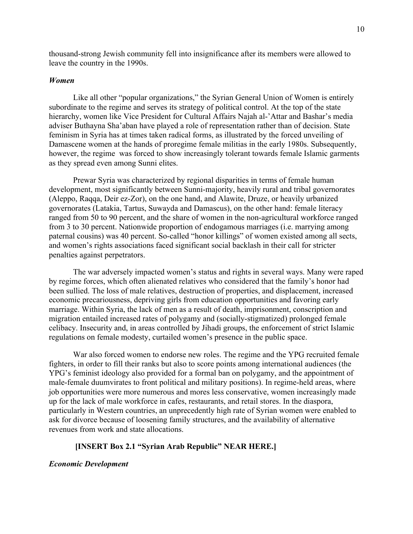thousand-strong Jewish community fell into insignificance after its members were allowed to leave the country in the 1990s.

#### *Women*

Like all other "popular organizations," the Syrian General Union of Women is entirely subordinate to the regime and serves its strategy of political control. At the top of the state hierarchy, women like Vice President for Cultural Affairs Najah al-'Attar and Bashar's media adviser Buthayna Sha'aban have played a role of representation rather than of decision. State feminism in Syria has at times taken radical forms, as illustrated by the forced unveiling of Damascene women at the hands of proregime female militias in the early 1980s. Subsequently, however, the regime was forced to show increasingly tolerant towards female Islamic garments as they spread even among Sunni elites.

Prewar Syria was characterized by regional disparities in terms of female human development, most significantly between Sunni-majority, heavily rural and tribal governorates (Aleppo, Raqqa, Deir ez-Zor), on the one hand, and Alawite, Druze, or heavily urbanized governorates (Latakia, Tartus, Suwayda and Damascus), on the other hand: female literacy ranged from 50 to 90 percent, and the share of women in the non-agricultural workforce ranged from 3 to 30 percent. Nationwide proportion of endogamous marriages (i.e. marrying among paternal cousins) was 40 percent. So-called "honor killings" of women existed among all sects, and women's rights associations faced significant social backlash in their call for stricter penalties against perpetrators.

The war adversely impacted women's status and rights in several ways. Many were raped by regime forces, which often alienated relatives who considered that the family's honor had been sullied. The loss of male relatives, destruction of properties, and displacement, increased economic precariousness, depriving girls from education opportunities and favoring early marriage. Within Syria, the lack of men as a result of death, imprisonment, conscription and migration entailed increased rates of polygamy and (socially-stigmatized) prolonged female celibacy. Insecurity and, in areas controlled by Jihadi groups, the enforcement of strict Islamic regulations on female modesty, curtailed women's presence in the public space.

War also forced women to endorse new roles. The regime and the YPG recruited female fighters, in order to fill their ranks but also to score points among international audiences (the YPG's feminist ideology also provided for a formal ban on polygamy, and the appointment of male-female duumvirates to front political and military positions). In regime-held areas, where job opportunities were more numerous and mores less conservative, women increasingly made up for the lack of male workforce in cafes, restaurants, and retail stores. In the diaspora, particularly in Western countries, an unprecedently high rate of Syrian women were enabled to ask for divorce because of loosening family structures, and the availability of alternative revenues from work and state allocations.

## **[INSERT Box 2.1 "Syrian Arab Republic" NEAR HERE.]**

#### *Economic Development*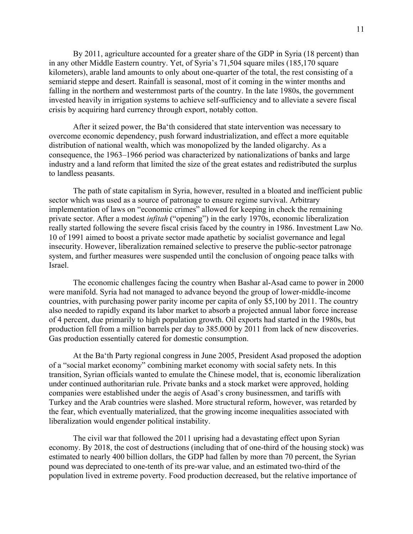By 2011, agriculture accounted for a greater share of the GDP in Syria (18 percent) than in any other Middle Eastern country. Yet, of Syria's 71,504 square miles (185,170 square kilometers), arable land amounts to only about one-quarter of the total, the rest consisting of a semiarid steppe and desert. Rainfall is seasonal, most of it coming in the winter months and falling in the northern and westernmost parts of the country. In the late 1980s, the government invested heavily in irrigation systems to achieve self-sufficiency and to alleviate a severe fiscal crisis by acquiring hard currency through export, notably cotton.

After it seized power, the Ba'th considered that state intervention was necessary to overcome economic dependency, push forward industrialization, and effect a more equitable distribution of national wealth, which was monopolized by the landed oligarchy. As a consequence, the 1963–1966 period was characterized by nationalizations of banks and large industry and a land reform that limited the size of the great estates and redistributed the surplus to landless peasants.

The path of state capitalism in Syria, however, resulted in a bloated and inefficient public sector which was used as a source of patronage to ensure regime survival. Arbitrary implementation of laws on "economic crimes" allowed for keeping in check the remaining private sector. After a modest *infitah* ("opening") in the early 1970s, economic liberalization really started following the severe fiscal crisis faced by the country in 1986. Investment Law No. 10 of 1991 aimed to boost a private sector made apathetic by socialist governance and legal insecurity. However, liberalization remained selective to preserve the public-sector patronage system, and further measures were suspended until the conclusion of ongoing peace talks with Israel.

The economic challenges facing the country when Bashar al-Asad came to power in 2000 were manifold. Syria had not managed to advance beyond the group of lower-middle-income countries, with purchasing power parity income per capita of only \$5,100 by 2011. The country also needed to rapidly expand its labor market to absorb a projected annual labor force increase of 4 percent, due primarily to high population growth. Oil exports had started in the 1980s, but production fell from a million barrels per day to 385.000 by 2011 from lack of new discoveries. Gas production essentially catered for domestic consumption.

At the Ba'th Party regional congress in June 2005, President Asad proposed the adoption of a "social market economy" combining market economy with social safety nets. In this transition, Syrian officials wanted to emulate the Chinese model, that is, economic liberalization under continued authoritarian rule. Private banks and a stock market were approved, holding companies were established under the aegis of Asad's crony businessmen, and tariffs with Turkey and the Arab countries were slashed. More structural reform, however, was retarded by the fear, which eventually materialized, that the growing income inequalities associated with liberalization would engender political instability.

The civil war that followed the 2011 uprising had a devastating effect upon Syrian economy. By 2018, the cost of destructions (including that of one-third of the housing stock) was estimated to nearly 400 billion dollars, the GDP had fallen by more than 70 percent, the Syrian pound was depreciated to one-tenth of its pre-war value, and an estimated two-third of the population lived in extreme poverty. Food production decreased, but the relative importance of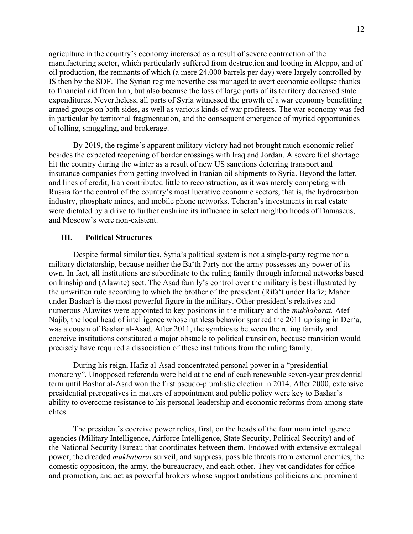agriculture in the country's economy increased as a result of severe contraction of the manufacturing sector, which particularly suffered from destruction and looting in Aleppo, and of oil production, the remnants of which (a mere 24.000 barrels per day) were largely controlled by IS then by the SDF. The Syrian regime nevertheless managed to avert economic collapse thanks to financial aid from Iran, but also because the loss of large parts of its territory decreased state expenditures. Nevertheless, all parts of Syria witnessed the growth of a war economy benefitting armed groups on both sides, as well as various kinds of war profiteers. The war economy was fed in particular by territorial fragmentation, and the consequent emergence of myriad opportunities of tolling, smuggling, and brokerage.

By 2019, the regime's apparent military victory had not brought much economic relief besides the expected reopening of border crossings with Iraq and Jordan. A severe fuel shortage hit the country during the winter as a result of new US sanctions deterring transport and insurance companies from getting involved in Iranian oil shipments to Syria. Beyond the latter, and lines of credit, Iran contributed little to reconstruction, as it was merely competing with Russia for the control of the country's most lucrative economic sectors, that is, the hydrocarbon industry, phosphate mines, and mobile phone networks. Teheran's investments in real estate were dictated by a drive to further enshrine its influence in select neighborhoods of Damascus, and Moscow's were non-existent.

## **III. Political Structures**

Despite formal similarities, Syria's political system is not a single-party regime nor a military dictatorship, because neither the Ba'th Party nor the army possesses any power of its own. In fact, all institutions are subordinate to the ruling family through informal networks based on kinship and (Alawite) sect. The Asad family's control over the military is best illustrated by the unwritten rule according to which the brother of the president (Rifa't under Hafiz; Maher under Bashar) is the most powerful figure in the military. Other president's relatives and numerous Alawites were appointed to key positions in the military and the *mukhabarat.* Atef Najib, the local head of intelligence whose ruthless behavior sparked the 2011 uprising in Der'a, was a cousin of Bashar al-Asad. After 2011, the symbiosis between the ruling family and coercive institutions constituted a major obstacle to political transition, because transition would precisely have required a dissociation of these institutions from the ruling family.

During his reign, Hafiz al-Asad concentrated personal power in a "presidential monarchy". Unopposed referenda were held at the end of each renewable seven-year presidential term until Bashar al-Asad won the first pseudo-pluralistic election in 2014. After 2000, extensive presidential prerogatives in matters of appointment and public policy were key to Bashar's ability to overcome resistance to his personal leadership and economic reforms from among state elites.

The president's coercive power relies, first, on the heads of the four main intelligence agencies (Military Intelligence, Airforce Intelligence, State Security, Political Security) and of the National Security Bureau that coordinates between them. Endowed with extensive extralegal power, the dreaded *mukhabarat* surveil, and suppress, possible threats from external enemies, the domestic opposition, the army, the bureaucracy, and each other. They vet candidates for office and promotion, and act as powerful brokers whose support ambitious politicians and prominent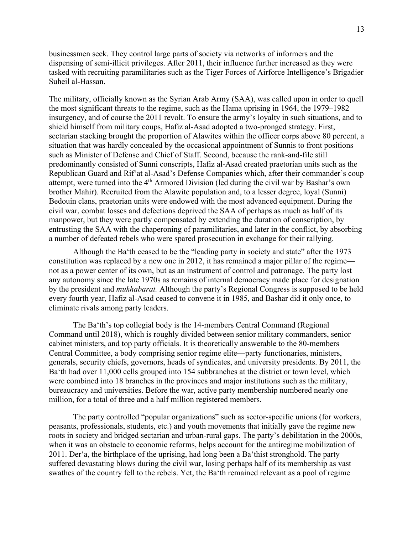businessmen seek. They control large parts of society via networks of informers and the dispensing of semi-illicit privileges. After 2011, their influence further increased as they were tasked with recruiting paramilitaries such as the Tiger Forces of Airforce Intelligence's Brigadier Suheil al-Hassan.

The military, officially known as the Syrian Arab Army (SAA), was called upon in order to quell the most significant threats to the regime, such as the Hama uprising in 1964, the 1979–1982 insurgency, and of course the 2011 revolt. To ensure the army's loyalty in such situations, and to shield himself from military coups, Hafiz al-Asad adopted a two-pronged strategy. First, sectarian stacking brought the proportion of Alawites within the officer corps above 80 percent, a situation that was hardly concealed by the occasional appointment of Sunnis to front positions such as Minister of Defense and Chief of Staff. Second, because the rank-and-file still predominantly consisted of Sunni conscripts, Hafiz al-Asad created praetorian units such as the Republican Guard and Rif'at al-Asad's Defense Companies which, after their commander's coup attempt, were turned into the 4<sup>th</sup> Armored Division (led during the civil war by Bashar's own brother Mahir). Recruited from the Alawite population and, to a lesser degree, loyal (Sunni) Bedouin clans, praetorian units were endowed with the most advanced equipment. During the civil war, combat losses and defections deprived the SAA of perhaps as much as half of its manpower, but they were partly compensated by extending the duration of conscription, by entrusting the SAA with the chaperoning of paramilitaries, and later in the conflict, by absorbing a number of defeated rebels who were spared prosecution in exchange for their rallying.

Although the Ba'th ceased to be the "leading party in society and state" after the 1973 constitution was replaced by a new one in 2012, it has remained a major pillar of the regime not as a power center of its own, but as an instrument of control and patronage. The party lost any autonomy since the late 1970s as remains of internal democracy made place for designation by the president and *mukhabarat.* Although the party's Regional Congress is supposed to be held every fourth year, Hafiz al-Asad ceased to convene it in 1985, and Bashar did it only once, to eliminate rivals among party leaders.

The Ba'th's top collegial body is the 14-members Central Command (Regional Command until 2018), which is roughly divided between senior military commanders, senior cabinet ministers, and top party officials. It is theoretically answerable to the 80-members Central Committee, a body comprising senior regime elite—party functionaries, ministers, generals, security chiefs, governors, heads of syndicates, and university presidents. By 2011, the Ba'th had over 11,000 cells grouped into 154 subbranches at the district or town level, which were combined into 18 branches in the provinces and major institutions such as the military, bureaucracy and universities. Before the war, active party membership numbered nearly one million, for a total of three and a half million registered members.

The party controlled "popular organizations" such as sector-specific unions (for workers, peasants, professionals, students, etc.) and youth movements that initially gave the regime new roots in society and bridged sectarian and urban-rural gaps. The party's debilitation in the 2000s, when it was an obstacle to economic reforms, helps account for the antiregime mobilization of 2011. Der'a, the birthplace of the uprising, had long been a Ba'thist stronghold. The party suffered devastating blows during the civil war, losing perhaps half of its membership as vast swathes of the country fell to the rebels. Yet, the Ba'th remained relevant as a pool of regime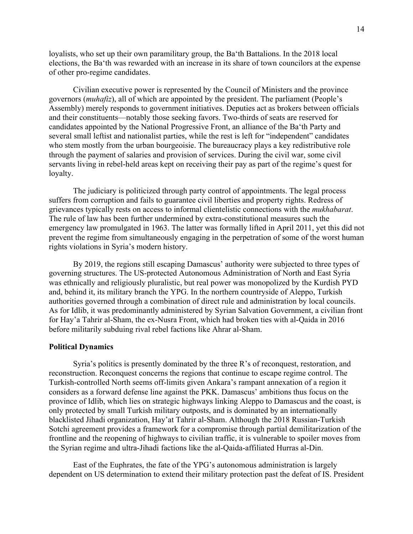loyalists, who set up their own paramilitary group, the Ba'th Battalions. In the 2018 local elections, the Ba'th was rewarded with an increase in its share of town councilors at the expense of other pro-regime candidates.

Civilian executive power is represented by the Council of Ministers and the province governors (*muhafiz*), all of which are appointed by the president. The parliament (People's Assembly) merely responds to government initiatives. Deputies act as brokers between officials and their constituents—notably those seeking favors. Two-thirds of seats are reserved for candidates appointed by the National Progressive Front, an alliance of the Ba'th Party and several small leftist and nationalist parties, while the rest is left for "independent" candidates who stem mostly from the urban bourgeoisie. The bureaucracy plays a key redistributive role through the payment of salaries and provision of services. During the civil war, some civil servants living in rebel-held areas kept on receiving their pay as part of the regime's quest for loyalty.

The judiciary is politicized through party control of appointments. The legal process suffers from corruption and fails to guarantee civil liberties and property rights. Redress of grievances typically rests on access to informal clientelistic connections with the *mukhabarat*. The rule of law has been further undermined by extra-constitutional measures such the emergency law promulgated in 1963. The latter was formally lifted in April 2011, yet this did not prevent the regime from simultaneously engaging in the perpetration of some of the worst human rights violations in Syria's modern history.

By 2019, the regions still escaping Damascus' authority were subjected to three types of governing structures. The US-protected Autonomous Administration of North and East Syria was ethnically and religiously pluralistic, but real power was monopolized by the Kurdish PYD and, behind it, its military branch the YPG. In the northern countryside of Aleppo, Turkish authorities governed through a combination of direct rule and administration by local councils. As for Idlib, it was predominantly administered by Syrian Salvation Government, a civilian front for Hay'a Tahrir al-Sham, the ex-Nusra Front, which had broken ties with al-Qaida in 2016 before militarily subduing rival rebel factions like Ahrar al-Sham.

## **Political Dynamics**

Syria's politics is presently dominated by the three R's of reconquest, restoration, and reconstruction. Reconquest concerns the regions that continue to escape regime control. The Turkish-controlled North seems off-limits given Ankara's rampant annexation of a region it considers as a forward defense line against the PKK. Damascus' ambitions thus focus on the province of Idlib, which lies on strategic highways linking Aleppo to Damascus and the coast, is only protected by small Turkish military outposts, and is dominated by an internationally blacklisted Jihadi organization, Hay'at Tahrir al-Sham. Although the 2018 Russian-Turkish Sotchi agreement provides a framework for a compromise through partial demilitarization of the frontline and the reopening of highways to civilian traffic, it is vulnerable to spoiler moves from the Syrian regime and ultra-Jihadi factions like the al-Qaida-affiliated Hurras al-Din.

East of the Euphrates, the fate of the YPG's autonomous administration is largely dependent on US determination to extend their military protection past the defeat of IS. President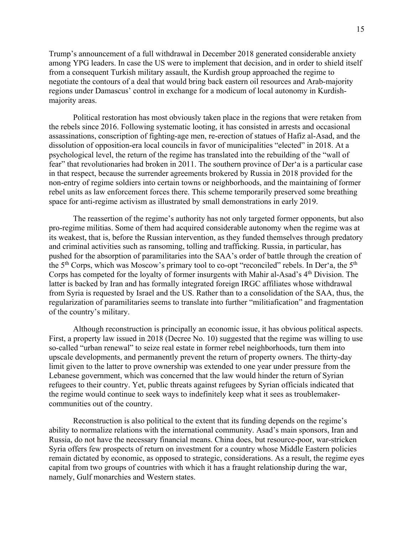Trump's announcement of a full withdrawal in December 2018 generated considerable anxiety among YPG leaders. In case the US were to implement that decision, and in order to shield itself from a consequent Turkish military assault, the Kurdish group approached the regime to negotiate the contours of a deal that would bring back eastern oil resources and Arab-majority regions under Damascus' control in exchange for a modicum of local autonomy in Kurdishmajority areas.

Political restoration has most obviously taken place in the regions that were retaken from the rebels since 2016. Following systematic looting, it has consisted in arrests and occasional assassinations, conscription of fighting-age men, re-erection of statues of Hafiz al-Asad, and the dissolution of opposition-era local councils in favor of municipalities "elected" in 2018. At a psychological level, the return of the regime has translated into the rebuilding of the "wall of fear" that revolutionaries had broken in 2011. The southern province of Der'a is a particular case in that respect, because the surrender agreements brokered by Russia in 2018 provided for the non-entry of regime soldiers into certain towns or neighborhoods, and the maintaining of former rebel units as law enforcement forces there. This scheme temporarily preserved some breathing space for anti-regime activism as illustrated by small demonstrations in early 2019.

The reassertion of the regime's authority has not only targeted former opponents, but also pro-regime militias. Some of them had acquired considerable autonomy when the regime was at its weakest, that is, before the Russian intervention, as they funded themselves through predatory and criminal activities such as ransoming, tolling and trafficking. Russia, in particular, has pushed for the absorption of paramilitaries into the SAA's order of battle through the creation of the 5<sup>th</sup> Corps, which was Moscow's primary tool to co-opt "reconciled" rebels. In Der'a, the 5<sup>th</sup> Corps has competed for the loyalty of former insurgents with Mahir al-Asad's 4<sup>th</sup> Division. The latter is backed by Iran and has formally integrated foreign IRGC affiliates whose withdrawal from Syria is requested by Israel and the US. Rather than to a consolidation of the SAA, thus, the regularization of paramilitaries seems to translate into further "militiafication" and fragmentation of the country's military.

Although reconstruction is principally an economic issue, it has obvious political aspects. First, a property law issued in 2018 (Decree No. 10) suggested that the regime was willing to use so-called "urban renewal" to seize real estate in former rebel neighborhoods, turn them into upscale developments, and permanently prevent the return of property owners. The thirty-day limit given to the latter to prove ownership was extended to one year under pressure from the Lebanese government, which was concerned that the law would hinder the return of Syrian refugees to their country. Yet, public threats against refugees by Syrian officials indicated that the regime would continue to seek ways to indefinitely keep what it sees as troublemakercommunities out of the country.

Reconstruction is also political to the extent that its funding depends on the regime's ability to normalize relations with the international community. Asad's main sponsors, Iran and Russia, do not have the necessary financial means. China does, but resource-poor, war-stricken Syria offers few prospects of return on investment for a country whose Middle Eastern policies remain dictated by economic, as opposed to strategic, considerations. As a result, the regime eyes capital from two groups of countries with which it has a fraught relationship during the war, namely, Gulf monarchies and Western states.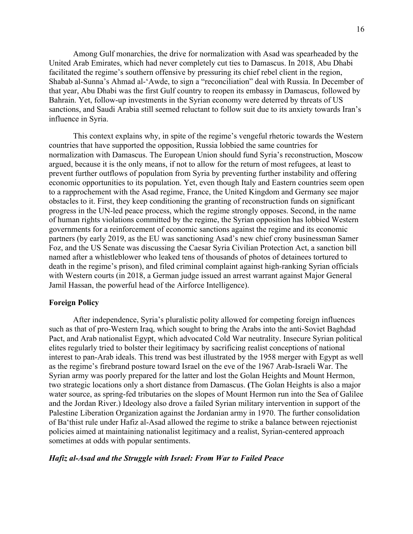Among Gulf monarchies, the drive for normalization with Asad was spearheaded by the United Arab Emirates, which had never completely cut ties to Damascus. In 2018, Abu Dhabi facilitated the regime's southern offensive by pressuring its chief rebel client in the region, Shabab al-Sunna's Ahmad al-'Awde, to sign a "reconciliation" deal with Russia. In December of that year, Abu Dhabi was the first Gulf country to reopen its embassy in Damascus, followed by Bahrain. Yet, follow-up investments in the Syrian economy were deterred by threats of US sanctions, and Saudi Arabia still seemed reluctant to follow suit due to its anxiety towards Iran's influence in Syria.

This context explains why, in spite of the regime's vengeful rhetoric towards the Western countries that have supported the opposition, Russia lobbied the same countries for normalization with Damascus. The European Union should fund Syria's reconstruction, Moscow argued, because it is the only means, if not to allow for the return of most refugees, at least to prevent further outflows of population from Syria by preventing further instability and offering economic opportunities to its population. Yet, even though Italy and Eastern countries seem open to a rapprochement with the Asad regime, France, the United Kingdom and Germany see major obstacles to it. First, they keep conditioning the granting of reconstruction funds on significant progress in the UN-led peace process, which the regime strongly opposes. Second, in the name of human rights violations committed by the regime, the Syrian opposition has lobbied Western governments for a reinforcement of economic sanctions against the regime and its economic partners (by early 2019, as the EU was sanctioning Asad's new chief crony businessman Samer Foz, and the US Senate was discussing the Caesar Syria Civilian Protection Act, a sanction bill named after a whistleblower who leaked tens of thousands of photos of detainees tortured to death in the regime's prison), and filed criminal complaint against high-ranking Syrian officials with Western courts (in 2018, a German judge issued an arrest warrant against Major General Jamil Hassan, the powerful head of the Airforce Intelligence).

## **Foreign Policy**

After independence, Syria's pluralistic polity allowed for competing foreign influences such as that of pro-Western Iraq, which sought to bring the Arabs into the anti-Soviet Baghdad Pact, and Arab nationalist Egypt, which advocated Cold War neutrality. Insecure Syrian political elites regularly tried to bolster their legitimacy by sacrificing realist conceptions of national interest to pan-Arab ideals. This trend was best illustrated by the 1958 merger with Egypt as well as the regime's firebrand posture toward Israel on the eve of the 1967 Arab-Israeli War. The Syrian army was poorly prepared for the latter and lost the Golan Heights and Mount Hermon, two strategic locations only a short distance from Damascus. **(**The Golan Heights is also a major water source, as spring-fed tributaries on the slopes of Mount Hermon run into the Sea of Galilee and the Jordan River.) Ideology also drove a failed Syrian military intervention in support of the Palestine Liberation Organization against the Jordanian army in 1970. The further consolidation of Ba'thist rule under Hafiz al-Asad allowed the regime to strike a balance between rejectionist policies aimed at maintaining nationalist legitimacy and a realist, Syrian-centered approach sometimes at odds with popular sentiments.

## *Hafiz al-Asad and the Struggle with Israel: From War to Failed Peace*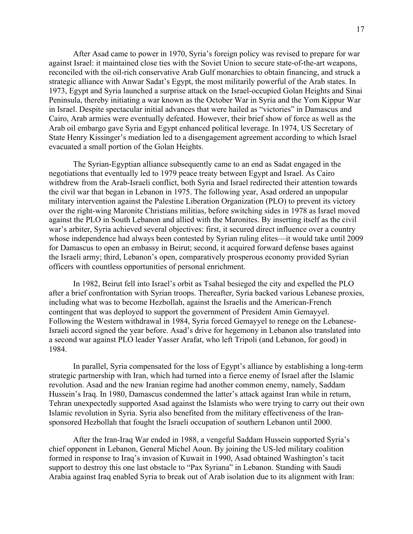After Asad came to power in 1970, Syria's foreign policy was revised to prepare for war against Israel: it maintained close ties with the Soviet Union to secure state-of-the-art weapons, reconciled with the oil-rich conservative Arab Gulf monarchies to obtain financing, and struck a strategic alliance with Anwar Sadat's Egypt, the most militarily powerful of the Arab states. In 1973, Egypt and Syria launched a surprise attack on the Israel-occupied Golan Heights and Sinai Peninsula, thereby initiating a war known as the October War in Syria and the Yom Kippur War in Israel. Despite spectacular initial advances that were hailed as "victories" in Damascus and Cairo, Arab armies were eventually defeated. However, their brief show of force as well as the Arab oil embargo gave Syria and Egypt enhanced political leverage. In 1974, US Secretary of State Henry Kissinger's mediation led to a disengagement agreement according to which Israel evacuated a small portion of the Golan Heights.

The Syrian-Egyptian alliance subsequently came to an end as Sadat engaged in the negotiations that eventually led to 1979 peace treaty between Egypt and Israel. As Cairo withdrew from the Arab-Israeli conflict, both Syria and Israel redirected their attention towards the civil war that began in Lebanon in 1975. The following year, Asad ordered an unpopular military intervention against the Palestine Liberation Organization (PLO) to prevent its victory over the right-wing Maronite Christians militias, before switching sides in 1978 as Israel moved against the PLO in South Lebanon and allied with the Maronites. By inserting itself as the civil war's arbiter, Syria achieved several objectives: first, it secured direct influence over a country whose independence had always been contested by Syrian ruling elites—it would take until 2009 for Damascus to open an embassy in Beirut; second, it acquired forward defense bases against the Israeli army; third, Lebanon's open, comparatively prosperous economy provided Syrian officers with countless opportunities of personal enrichment.

In 1982, Beirut fell into Israel's orbit as Tsahal besieged the city and expelled the PLO after a brief confrontation with Syrian troops. Thereafter, Syria backed various Lebanese proxies, including what was to become Hezbollah, against the Israelis and the American-French contingent that was deployed to support the government of President Amin Gemayyel. Following the Western withdrawal in 1984, Syria forced Gemayyel to renege on the Lebanese-Israeli accord signed the year before. Asad's drive for hegemony in Lebanon also translated into a second war against PLO leader Yasser Arafat, who left Tripoli (and Lebanon, for good) in 1984.

In parallel, Syria compensated for the loss of Egypt's alliance by establishing a long-term strategic partnership with Iran, which had turned into a fierce enemy of Israel after the Islamic revolution. Asad and the new Iranian regime had another common enemy, namely, Saddam Hussein's Iraq. In 1980, Damascus condemned the latter's attack against Iran while in return, Tehran unexpectedly supported Asad against the Islamists who were trying to carry out their own Islamic revolution in Syria. Syria also benefited from the military effectiveness of the Iransponsored Hezbollah that fought the Israeli occupation of southern Lebanon until 2000.

After the Iran-Iraq War ended in 1988, a vengeful Saddam Hussein supported Syria's chief opponent in Lebanon, General Michel Aoun. By joining the US-led military coalition formed in response to Iraq's invasion of Kuwait in 1990, Asad obtained Washington's tacit support to destroy this one last obstacle to "Pax Syriana" in Lebanon. Standing with Saudi Arabia against Iraq enabled Syria to break out of Arab isolation due to its alignment with Iran: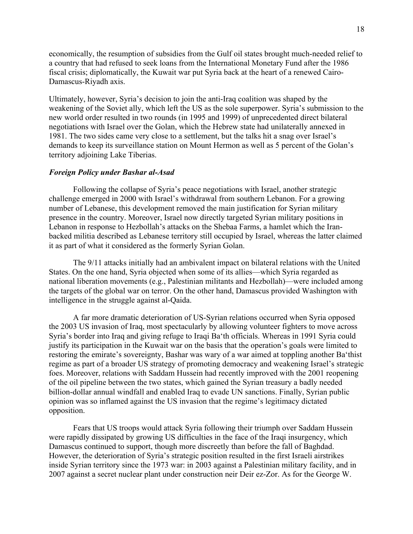economically, the resumption of subsidies from the Gulf oil states brought much-needed relief to a country that had refused to seek loans from the International Monetary Fund after the 1986 fiscal crisis; diplomatically, the Kuwait war put Syria back at the heart of a renewed Cairo-Damascus-Riyadh axis.

Ultimately, however, Syria's decision to join the anti-Iraq coalition was shaped by the weakening of the Soviet ally, which left the US as the sole superpower. Syria's submission to the new world order resulted in two rounds (in 1995 and 1999) of unprecedented direct bilateral negotiations with Israel over the Golan, which the Hebrew state had unilaterally annexed in 1981. The two sides came very close to a settlement, but the talks hit a snag over Israel's demands to keep its surveillance station on Mount Hermon as well as 5 percent of the Golan's territory adjoining Lake Tiberias.

#### *Foreign Policy under Bashar al-Asad*

Following the collapse of Syria's peace negotiations with Israel, another strategic challenge emerged in 2000 with Israel's withdrawal from southern Lebanon. For a growing number of Lebanese, this development removed the main justification for Syrian military presence in the country. Moreover, Israel now directly targeted Syrian military positions in Lebanon in response to Hezbollah's attacks on the Shebaa Farms, a hamlet which the Iranbacked militia described as Lebanese territory still occupied by Israel, whereas the latter claimed it as part of what it considered as the formerly Syrian Golan.

The 9/11 attacks initially had an ambivalent impact on bilateral relations with the United States. On the one hand, Syria objected when some of its allies—which Syria regarded as national liberation movements (e.g., Palestinian militants and Hezbollah)—were included among the targets of the global war on terror. On the other hand, Damascus provided Washington with intelligence in the struggle against al-Qaida.

A far more dramatic deterioration of US-Syrian relations occurred when Syria opposed the 2003 US invasion of Iraq, most spectacularly by allowing volunteer fighters to move across Syria's border into Iraq and giving refuge to Iraqi Ba'th officials. Whereas in 1991 Syria could justify its participation in the Kuwait war on the basis that the operation's goals were limited to restoring the emirate's sovereignty, Bashar was wary of a war aimed at toppling another Ba'thist regime as part of a broader US strategy of promoting democracy and weakening Israel's strategic foes. Moreover, relations with Saddam Hussein had recently improved with the 2001 reopening of the oil pipeline between the two states, which gained the Syrian treasury a badly needed billion-dollar annual windfall and enabled Iraq to evade UN sanctions. Finally, Syrian public opinion was so inflamed against the US invasion that the regime's legitimacy dictated opposition.

Fears that US troops would attack Syria following their triumph over Saddam Hussein were rapidly dissipated by growing US difficulties in the face of the Iraqi insurgency, which Damascus continued to support, though more discreetly than before the fall of Baghdad. However, the deterioration of Syria's strategic position resulted in the first Israeli airstrikes inside Syrian territory since the 1973 war: in 2003 against a Palestinian military facility, and in 2007 against a secret nuclear plant under construction neir Deir ez-Zor. As for the George W.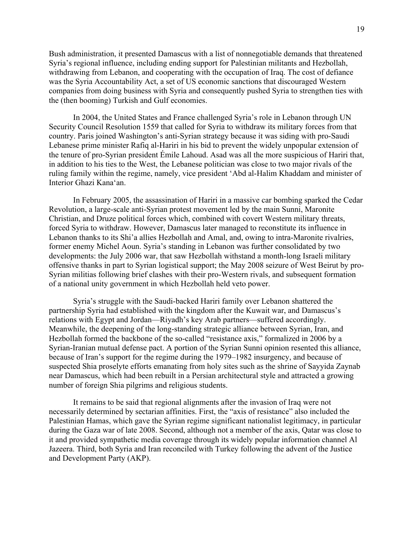Bush administration, it presented Damascus with a list of nonnegotiable demands that threatened Syria's regional influence, including ending support for Palestinian militants and Hezbollah, withdrawing from Lebanon, and cooperating with the occupation of Iraq. The cost of defiance was the Syria Accountability Act, a set of US economic sanctions that discouraged Western companies from doing business with Syria and consequently pushed Syria to strengthen ties with the (then booming) Turkish and Gulf economies.

In 2004, the United States and France challenged Syria's role in Lebanon through UN Security Council Resolution 1559 that called for Syria to withdraw its military forces from that country. Paris joined Washington's anti-Syrian strategy because it was siding with pro-Saudi Lebanese prime minister Rafiq al-Hariri in his bid to prevent the widely unpopular extension of the tenure of pro-Syrian president Émile Lahoud. Asad was all the more suspicious of Hariri that, in addition to his ties to the West, the Lebanese politician was close to two major rivals of the ruling family within the regime, namely, vice president 'Abd al-Halim Khaddam and minister of Interior Ghazi Kana'an.

In February 2005, the assassination of Hariri in a massive car bombing sparked the Cedar Revolution, a large-scale anti-Syrian protest movement led by the main Sunni, Maronite Christian, and Druze political forces which, combined with covert Western military threats, forced Syria to withdraw. However, Damascus later managed to reconstitute its influence in Lebanon thanks to its Shi'a allies Hezbollah and Amal, and, owing to intra-Maronite rivalries, former enemy Michel Aoun. Syria's standing in Lebanon was further consolidated by two developments: the July 2006 war, that saw Hezbollah withstand a month-long Israeli military offensive thanks in part to Syrian logistical support; the May 2008 seizure of West Beirut by pro-Syrian militias following brief clashes with their pro-Western rivals, and subsequent formation of a national unity government in which Hezbollah held veto power.

Syria's struggle with the Saudi-backed Hariri family over Lebanon shattered the partnership Syria had established with the kingdom after the Kuwait war, and Damascus's relations with Egypt and Jordan—Riyadh's key Arab partners—suffered accordingly. Meanwhile, the deepening of the long-standing strategic alliance between Syrian, Iran, and Hezbollah formed the backbone of the so-called "resistance axis," formalized in 2006 by a Syrian-Iranian mutual defense pact. A portion of the Syrian Sunni opinion resented this alliance, because of Iran's support for the regime during the 1979–1982 insurgency, and because of suspected Shia proselyte efforts emanating from holy sites such as the shrine of Sayyida Zaynab near Damascus, which had been rebuilt in a Persian architectural style and attracted a growing number of foreign Shia pilgrims and religious students.

It remains to be said that regional alignments after the invasion of Iraq were not necessarily determined by sectarian affinities. First, the "axis of resistance" also included the Palestinian Hamas, which gave the Syrian regime significant nationalist legitimacy, in particular during the Gaza war of late 2008. Second, although not a member of the axis, Qatar was close to it and provided sympathetic media coverage through its widely popular information channel Al Jazeera. Third, both Syria and Iran reconciled with Turkey following the advent of the Justice and Development Party (AKP).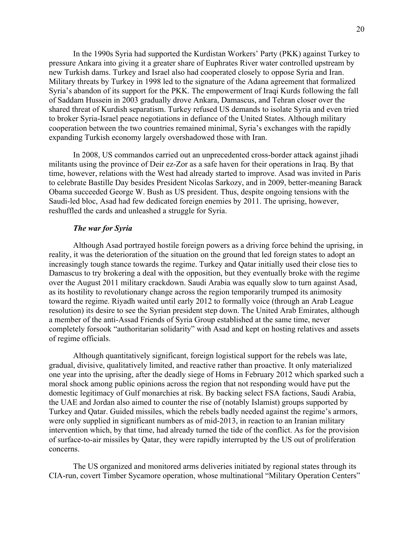In the 1990s Syria had supported the Kurdistan Workers' Party (PKK) against Turkey to pressure Ankara into giving it a greater share of Euphrates River water controlled upstream by new Turkish dams. Turkey and Israel also had cooperated closely to oppose Syria and Iran. Military threats by Turkey in 1998 led to the signature of the Adana agreement that formalized Syria's abandon of its support for the PKK. The empowerment of Iraqi Kurds following the fall of Saddam Hussein in 2003 gradually drove Ankara, Damascus, and Tehran closer over the shared threat of Kurdish separatism. Turkey refused US demands to isolate Syria and even tried to broker Syria-Israel peace negotiations in defiance of the United States. Although military cooperation between the two countries remained minimal, Syria's exchanges with the rapidly expanding Turkish economy largely overshadowed those with Iran.

In 2008, US commandos carried out an unprecedented cross-border attack against jihadi militants using the province of Deir ez-Zor as a safe haven for their operations in Iraq. By that time, however, relations with the West had already started to improve. Asad was invited in Paris to celebrate Bastille Day besides President Nicolas Sarkozy, and in 2009, better-meaning Barack Obama succeeded George W. Bush as US president. Thus, despite ongoing tensions with the Saudi-led bloc, Asad had few dedicated foreign enemies by 2011. The uprising, however, reshuffled the cards and unleashed a struggle for Syria.

## *The war for Syria*

Although Asad portrayed hostile foreign powers as a driving force behind the uprising, in reality, it was the deterioration of the situation on the ground that led foreign states to adopt an increasingly tough stance towards the regime. Turkey and Qatar initially used their close ties to Damascus to try brokering a deal with the opposition, but they eventually broke with the regime over the August 2011 military crackdown. Saudi Arabia was equally slow to turn against Asad, as its hostility to revolutionary change across the region temporarily trumped its animosity toward the regime. Riyadh waited until early 2012 to formally voice (through an Arab League resolution) its desire to see the Syrian president step down. The United Arab Emirates, although a member of the anti-Assad Friends of Syria Group established at the same time, never completely forsook "authoritarian solidarity" with Asad and kept on hosting relatives and assets of regime officials.

Although quantitatively significant, foreign logistical support for the rebels was late, gradual, divisive, qualitatively limited, and reactive rather than proactive. It only materialized one year into the uprising, after the deadly siege of Homs in February 2012 which sparked such a moral shock among public opinions across the region that not responding would have put the domestic legitimacy of Gulf monarchies at risk. By backing select FSA factions, Saudi Arabia, the UAE and Jordan also aimed to counter the rise of (notably Islamist) groups supported by Turkey and Qatar. Guided missiles, which the rebels badly needed against the regime's armors, were only supplied in significant numbers as of mid-2013, in reaction to an Iranian military intervention which, by that time, had already turned the tide of the conflict. As for the provision of surface-to-air missiles by Qatar, they were rapidly interrupted by the US out of proliferation concerns.

The US organized and monitored arms deliveries initiated by regional states through its CIA-run, covert Timber Sycamore operation, whose multinational "Military Operation Centers"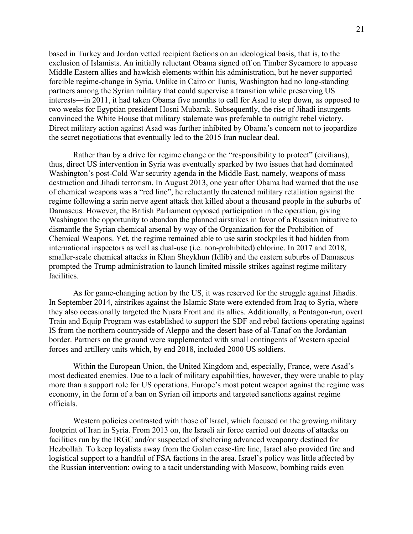based in Turkey and Jordan vetted recipient factions on an ideological basis, that is, to the exclusion of Islamists. An initially reluctant Obama signed off on Timber Sycamore to appease Middle Eastern allies and hawkish elements within his administration, but he never supported forcible regime-change in Syria. Unlike in Cairo or Tunis, Washington had no long-standing partners among the Syrian military that could supervise a transition while preserving US interests—in 2011, it had taken Obama five months to call for Asad to step down, as opposed to two weeks for Egyptian president Hosni Mubarak. Subsequently, the rise of Jihadi insurgents convinced the White House that military stalemate was preferable to outright rebel victory. Direct military action against Asad was further inhibited by Obama's concern not to jeopardize the secret negotiations that eventually led to the 2015 Iran nuclear deal.

Rather than by a drive for regime change or the "responsibility to protect" (civilians), thus, direct US intervention in Syria was eventually sparked by two issues that had dominated Washington's post-Cold War security agenda in the Middle East, namely, weapons of mass destruction and Jihadi terrorism. In August 2013, one year after Obama had warned that the use of chemical weapons was a "red line", he reluctantly threatened military retaliation against the regime following a sarin nerve agent attack that killed about a thousand people in the suburbs of Damascus. However, the British Parliament opposed participation in the operation, giving Washington the opportunity to abandon the planned airstrikes in favor of a Russian initiative to dismantle the Syrian chemical arsenal by way of the Organization for the Prohibition of Chemical Weapons. Yet, the regime remained able to use sarin stockpiles it had hidden from international inspectors as well as dual-use (i.e. non-prohibited) chlorine. In 2017 and 2018, smaller-scale chemical attacks in Khan Sheykhun (Idlib) and the eastern suburbs of Damascus prompted the Trump administration to launch limited missile strikes against regime military facilities.

As for game-changing action by the US, it was reserved for the struggle against Jihadis. In September 2014, airstrikes against the Islamic State were extended from Iraq to Syria, where they also occasionally targeted the Nusra Front and its allies. Additionally, a Pentagon-run, overt Train and Equip Program was established to support the SDF and rebel factions operating against IS from the northern countryside of Aleppo and the desert base of al-Tanaf on the Jordanian border. Partners on the ground were supplemented with small contingents of Western special forces and artillery units which, by end 2018, included 2000 US soldiers.

Within the European Union, the United Kingdom and, especially, France, were Asad's most dedicated enemies. Due to a lack of military capabilities, however, they were unable to play more than a support role for US operations. Europe's most potent weapon against the regime was economy, in the form of a ban on Syrian oil imports and targeted sanctions against regime officials.

Western policies contrasted with those of Israel, which focused on the growing military footprint of Iran in Syria. From 2013 on, the Israeli air force carried out dozens of attacks on facilities run by the IRGC and/or suspected of sheltering advanced weaponry destined for Hezbollah. To keep loyalists away from the Golan cease-fire line, Israel also provided fire and logistical support to a handful of FSA factions in the area. Israel's policy was little affected by the Russian intervention: owing to a tacit understanding with Moscow, bombing raids even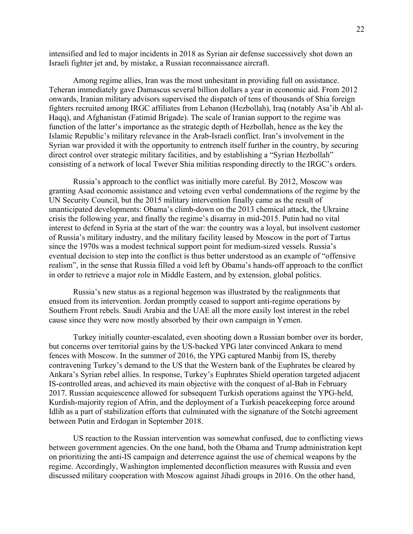intensified and led to major incidents in 2018 as Syrian air defense successively shot down an Israeli fighter jet and, by mistake, a Russian reconnaissance aircraft.

Among regime allies, Iran was the most unhesitant in providing full on assistance. Teheran immediately gave Damascus several billion dollars a year in economic aid. From 2012 onwards, Iranian military advisors supervised the dispatch of tens of thousands of Shia foreign fighters recruited among IRGC affiliates from Lebanon (Hezbollah), Iraq (notably Asa'ib Ahl al-Haqq), and Afghanistan (Fatimid Brigade). The scale of Iranian support to the regime was function of the latter's importance as the strategic depth of Hezbollah, hence as the key the Islamic Republic's military relevance in the Arab-Israeli conflict. Iran's involvement in the Syrian war provided it with the opportunity to entrench itself further in the country, by securing direct control over strategic military facilities, and by establishing a "Syrian Hezbollah" consisting of a network of local Twever Shia militias responding directly to the IRGC's orders.

Russia's approach to the conflict was initially more careful. By 2012, Moscow was granting Asad economic assistance and vetoing even verbal condemnations of the regime by the UN Security Council, but the 2015 military intervention finally came as the result of unanticipated developments: Obama's climb-down on the 2013 chemical attack, the Ukraine crisis the following year, and finally the regime's disarray in mid-2015. Putin had no vital interest to defend in Syria at the start of the war: the country was a loyal, but insolvent customer of Russia's military industry, and the military facility leased by Moscow in the port of Tartus since the 1970s was a modest technical support point for medium-sized vessels. Russia's eventual decision to step into the conflict is thus better understood as an example of "offensive realism", in the sense that Russia filled a void left by Obama's hands-off approach to the conflict in order to retrieve a major role in Middle Eastern, and by extension, global politics.

Russia's new status as a regional hegemon was illustrated by the realignments that ensued from its intervention. Jordan promptly ceased to support anti-regime operations by Southern Front rebels. Saudi Arabia and the UAE all the more easily lost interest in the rebel cause since they were now mostly absorbed by their own campaign in Yemen.

Turkey initially counter-escalated, even shooting down a Russian bomber over its border, but concerns over territorial gains by the US-backed YPG later convinced Ankara to mend fences with Moscow. In the summer of 2016, the YPG captured Manbij from IS, thereby contravening Turkey's demand to the US that the Western bank of the Euphrates be cleared by Ankara's Syrian rebel allies. In response, Turkey's Euphrates Shield operation targeted adjacent IS-controlled areas, and achieved its main objective with the conquest of al-Bab in February 2017. Russian acquiescence allowed for subsequent Turkish operations against the YPG-held, Kurdish-majority region of Afrin, and the deployment of a Turkish peacekeeping force around Idlib as a part of stabilization efforts that culminated with the signature of the Sotchi agreement between Putin and Erdogan in September 2018.

US reaction to the Russian intervention was somewhat confused, due to conflicting views between government agencies. On the one hand, both the Obama and Trump administration kept on prioritizing the anti-IS campaign and deterrence against the use of chemical weapons by the regime. Accordingly, Washington implemented deconfliction measures with Russia and even discussed military cooperation with Moscow against Jihadi groups in 2016. On the other hand,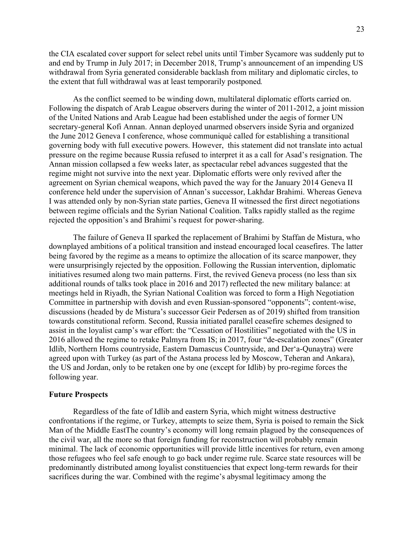the CIA escalated cover support for select rebel units until Timber Sycamore was suddenly put to and end by Trump in July 2017; in December 2018, Trump's announcement of an impending US withdrawal from Syria generated considerable backlash from military and diplomatic circles, to the extent that full withdrawal was at least temporarily postponed*.*

As the conflict seemed to be winding down, multilateral diplomatic efforts carried on. Following the dispatch of Arab League observers during the winter of 2011-2012, a joint mission of the United Nations and Arab League had been established under the aegis of former UN secretary-general Kofi Annan. Annan deployed unarmed observers inside Syria and organized the June 2012 Geneva I conference, whose communiqué called for establishing a transitional governing body with full executive powers. However, this statement did not translate into actual pressure on the regime because Russia refused to interpret it as a call for Asad's resignation. The Annan mission collapsed a few weeks later, as spectacular rebel advances suggested that the regime might not survive into the next year. Diplomatic efforts were only revived after the agreement on Syrian chemical weapons, which paved the way for the January 2014 Geneva II conference held under the supervision of Annan's successor, Lakhdar Brahimi. Whereas Geneva I was attended only by non-Syrian state parties, Geneva II witnessed the first direct negotiations between regime officials and the Syrian National Coalition. Talks rapidly stalled as the regime rejected the opposition's and Brahimi's request for power-sharing.

The failure of Geneva II sparked the replacement of Brahimi by Staffan de Mistura, who downplayed ambitions of a political transition and instead encouraged local ceasefires. The latter being favored by the regime as a means to optimize the allocation of its scarce manpower, they were unsurprisingly rejected by the opposition. Following the Russian intervention, diplomatic initiatives resumed along two main patterns. First, the revived Geneva process (no less than six additional rounds of talks took place in 2016 and 2017) reflected the new military balance: at meetings held in Riyadh, the Syrian National Coalition was forced to form a High Negotiation Committee in partnership with dovish and even Russian-sponsored "opponents"; content-wise, discussions (headed by de Mistura's successor Geir Pedersen as of 2019) shifted from transition towards constitutional reform. Second, Russia initiated parallel ceasefire schemes designed to assist in the loyalist camp's war effort: the "Cessation of Hostilities" negotiated with the US in 2016 allowed the regime to retake Palmyra from IS; in 2017, four "de-escalation zones" (Greater Idlib, Northern Homs countryside, Eastern Damascus Countryside, and Der'a-Qunaytra) were agreed upon with Turkey (as part of the Astana process led by Moscow, Teheran and Ankara), the US and Jordan, only to be retaken one by one (except for Idlib) by pro-regime forces the following year.

## **Future Prospects**

Regardless of the fate of Idlib and eastern Syria, which might witness destructive confrontations if the regime, or Turkey, attempts to seize them, Syria is poised to remain the Sick Man of the Middle EastThe country's economy will long remain plagued by the consequences of the civil war, all the more so that foreign funding for reconstruction will probably remain minimal. The lack of economic opportunities will provide little incentives for return, even among those refugees who feel safe enough to go back under regime rule. Scarce state resources will be predominantly distributed among loyalist constituencies that expect long-term rewards for their sacrifices during the war. Combined with the regime's abysmal legitimacy among the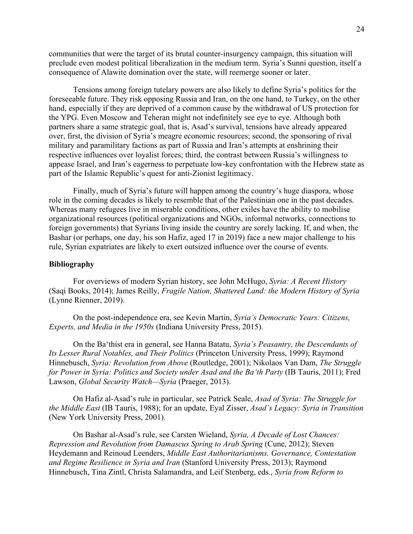communities that were the target of its brutal counter-insurgency campaign, this situation will preclude even modest political liberalization in the medium term. Syria's Sunni question, itself a consequence of Alawite domination over the state, will reemerge sooner or later.

Tensions among foreign tutelary powers are also likely to define Syria's politics for the foreseeable future. They risk opposing Russia and Iran, on the one hand, to Turkey, on the other hand, especially if they are deprived of a common cause by the withdrawal of US protection for the YPG. Even Moscow and Teheran might not indefinitely see eye to eye. Although both partners share a same strategic goal, that is, Asad's survival, tensions have already appeared over, first, the division of Syria's meagre economic resources; second, the sponsoring of rival military and paramilitary factions as part of Russia and Iran's attempts at enshrining their respective influences over loyalist forces; third, the contrast between Russia's willingness to appease Israel, and Iran's eagerness to perpetuate low-key confrontation with the Hebrew state as part of the Islamic Republic's quest for anti-Zionist legitimacy.

Finally, much of Syria's future will happen among the country's huge diaspora, whose role in the coming decades is likely to resemble that of the Palestinian one in the past decades. Whereas many refugees live in miserable conditions, other exiles have the ability to mobilise organizational resources (political organizations and NGOs, informal networks, connections to foreign governments) that Syrians living inside the country are sorely lacking. If, and when, the Bashar (or perhaps, one day, his son Hafiz, aged 17 in 2019) face a new major challenge to his rule, Syrian expatriates are likely to exert outsized influence over the course of events.

## **Bibliography**

For overviews of modern Syrian history, see John McHugo, *Syria: A Recent History* (Saqi Books, 2014); James Reilly, *Fragile Nation, Shattered Land: the Modern History of Syria*  (Lynne Rienner, 2019).

On the post-independence era, see Kevin Martin, *Syria's Democratic Years: Citizens, Experts, and Media in the 1950s* (Indiana University Press, 2015).

On the Ba'thist era in general, see Hanna Batatu, *Syria's Peasantry, the Descendants of Its Lesser Rural Notables, and Their Politics* (Princeton University Press, 1999); Raymond Hinnebusch, *Syria: Revolution from Above* (Routledge, 2001); Nikolaos Van Dam, *The Struggle for Power in Syria: Politics and Society under Asad and the Ba'th Party* (IB Tauris, 2011); Fred Lawson, *Global Security Watch—Syria* (Praeger, 2013).

On Hafiz al-Asad's rule in particular, see Patrick Seale, *Asad of Syria: The Struggle for the Middle East* (IB Tauris, 1988); for an update, Eyal Zisser, *Asad's Legacy: Syria in Transition*  (New York University Press, 2001).

On Bashar al-Asad's rule, see Carsten Wieland, *Syria, A Decade of Lost Chances: Repression and Revolution from Damascus Spring to Arab Spring* (Cune, 2012); Steven Heydemann and Reinoud Leenders, *Middle East Authoritarianisms. Governance, Contestation and Regime Resilience in Syria and Iran* (Stanford University Press, 2013); Raymond Hinnebusch, Tina Zintl, Christa Salamandra, and Leif Stenberg, eds., *Syria from Reform to*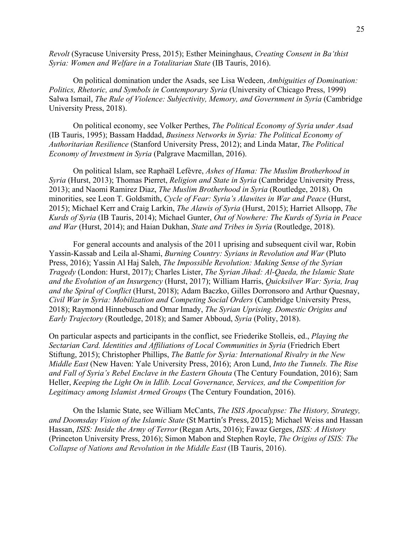*Revolt* (Syracuse University Press, 2015); Esther Meininghaus, *Creating Consent in Ba'thist Syria: Women and Welfare in a Totalitarian State* (IB Tauris, 2016).

On political domination under the Asads, see Lisa Wedeen, *Ambiguities of Domination: Politics, Rhetoric, and Symbols in Contemporary Syria (University of Chicago Press, 1999)* Salwa Ismail, *The Rule of Violence: Subjectivity, Memory, and Government in Syria* (Cambridge) University Press, 2018).

On political economy, see Volker Perthes, *The Political Economy of Syria under Asad* (IB Tauris, 1995); Bassam Haddad, *Business Networks in Syria: The Political Economy of Authoritarian Resilience* (Stanford University Press, 2012); and Linda Matar, *The Political Economy of Investment in Syria* (Palgrave Macmillan, 2016).

On political Islam, see Raphaël Lefèvre, *Ashes of Hama: The Muslim Brotherhood in Syria* (Hurst, 2013); Thomas Pierret, *Religion and State in Syria* (Cambridge University Press, 2013); and Naomi Ramirez Diaz, *The Muslim Brotherhood in Syria* (Routledge, 2018). On minorities, see Leon T. Goldsmith, *Cycle of Fear: Syria's Alawites in War and Peace* (Hurst, 2015); Michael Kerr and Craig Larkin, *The Alawis of Syria* (Hurst, 2015); Harriet Allsopp, *The Kurds of Syria* (IB Tauris, 2014); Michael Gunter, *Out of Nowhere: The Kurds of Syria in Peace and War* (Hurst, 2014); and Haian Dukhan, *State and Tribes in Syria* (Routledge, 2018).

For general accounts and analysis of the 2011 uprising and subsequent civil war, Robin Yassin-Kassab and Leila al-Shami, *Burning Country: Syrians in Revolution and War* (Pluto Press, 2016); Yassin Al Haj Saleh, *The Impossible Revolution: Making Sense of the Syrian Tragedy* (London: Hurst, 2017); Charles Lister, *The Syrian Jihad: Al-Qaeda, the Islamic State and the Evolution of an Insurgency* (Hurst, 2017); William Harris, *Quicksilver War: Syria, Iraq and the Spiral of Conflict* (Hurst, 2018); Adam Baczko, Gilles Dorronsoro and Arthur Quesnay, *Civil War in Syria: Mobilization and Competing Social Orders* (Cambridge University Press, 2018); Raymond Hinnebusch and Omar Imady, *The Syrian Uprising. Domestic Origins and Early Trajectory* (Routledge, 2018); and Samer Abboud, *Syria* (Polity, 2018).

On particular aspects and participants in the conflict, see Friederike Stolleis, ed., *Playing the Sectarian Card. Identities and Affiliations of Local Communities in Syria* (Friedrich Ebert Stiftung, 2015); Christopher Phillips, *The Battle for Syria: International Rivalry in the New Middle East* (New Haven: Yale University Press, 2016); Aron Lund, *Into the Tunnels. The Rise and Fall of Syria's Rebel Enclave in the Eastern Ghouta* (The Century Foundation, 2016); Sam Heller, *Keeping the Light On in Idlib. Local Governance, Services, and the Competition for Legitimacy among Islamist Armed Groups* (The Century Foundation, 2016).

On the Islamic State, see William McCants, *The ISIS Apocalypse: The History, Strategy,*  and Doomsday Vision of the Islamic State (St Martin's Press, 2015); Michael Weiss and Hassan Hassan, *ISIS: Inside the Army of Terror* (Regan Arts, 2016); Fawaz Gerges, *ISIS: A History*  (Princeton University Press, 2016); Simon Mabon and Stephen Royle, *The Origins of ISIS: The Collapse of Nations and Revolution in the Middle East* (IB Tauris, 2016).